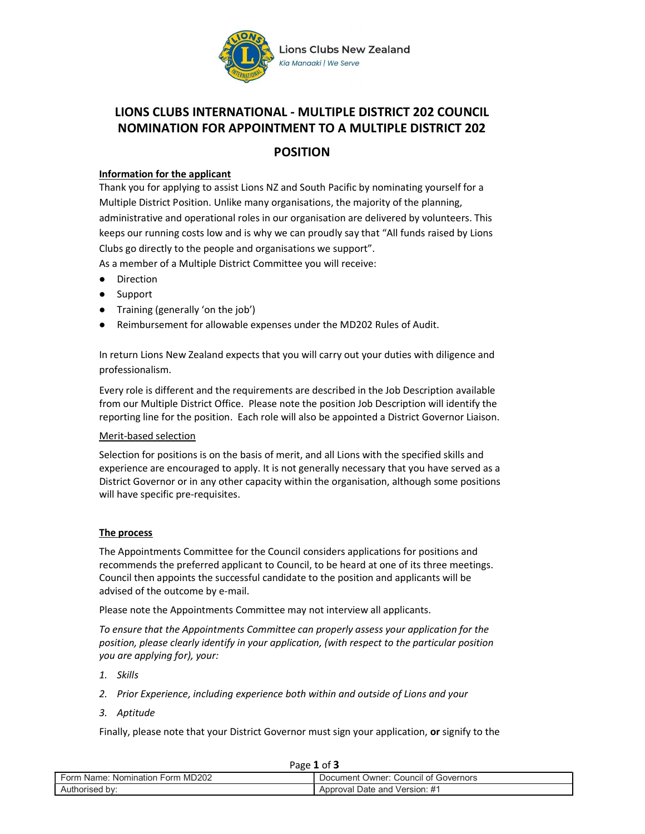

# LIONS CLUBS INTERNATIONAL - MULTIPLE DISTRICT 202 COUNCIL NOMINATION FOR APPOINTMENT TO A MULTIPLE DISTRICT 202

# POSITION

## Information for the applicant

Thank you for applying to assist Lions NZ and South Pacific by nominating yourself for a Multiple District Position. Unlike many organisations, the majority of the planning, administrative and operational roles in our organisation are delivered by volunteers. This keeps our running costs low and is why we can proudly say that "All funds raised by Lions Clubs go directly to the people and organisations we support".

As a member of a Multiple District Committee you will receive:

- Direction
- Support
- Training (generally 'on the job')
- Reimbursement for allowable expenses under the MD202 Rules of Audit.

In return Lions New Zealand expects that you will carry out your duties with diligence and professionalism.

Every role is different and the requirements are described in the Job Description available from our Multiple District Office. Please note the position Job Description will identify the reporting line for the position. Each role will also be appointed a District Governor Liaison.

#### Merit-based selection

Selection for positions is on the basis of merit, and all Lions with the specified skills and experience are encouraged to apply. It is not generally necessary that you have served as a District Governor or in any other capacity within the organisation, although some positions will have specific pre-requisites.

#### The process

The Appointments Committee for the Council considers applications for positions and recommends the preferred applicant to Council, to be heard at one of its three meetings. Council then appoints the successful candidate to the position and applicants will be advised of the outcome by e-mail.

Please note the Appointments Committee may not interview all applicants.

To ensure that the Appointments Committee can properly assess your application for the position, please clearly identify in your application, (with respect to the particular position you are applying for), your:

- 1. Skills
- 2. Prior Experience, including experience both within and outside of Lions and your
- 3. Aptitude

Finally, please note that your District Governor must sign your application, or signify to the

| Page 1 of                        |                                      |
|----------------------------------|--------------------------------------|
| Form Name: Nomination Form MD202 | Document Owner: Council of Governors |
| Authorised by:                   | Approval Date and Version: #1        |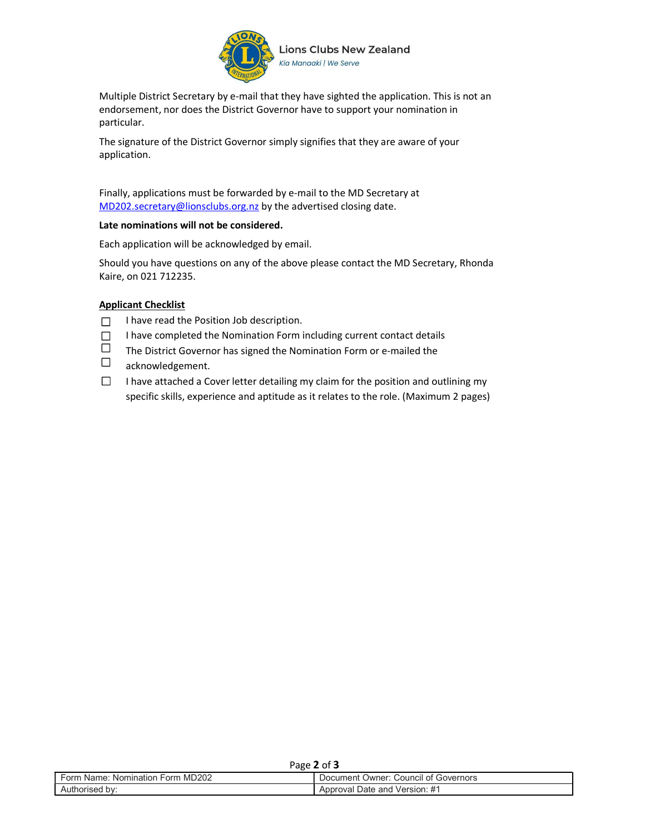

Multiple District Secretary by e-mail that they have sighted the application. This is not an endorsement, nor does the District Governor have to support your nomination in particular.

The signature of the District Governor simply signifies that they are aware of your application.

Finally, applications must be forwarded by e-mail to the MD Secretary at MD202.secretary@lionsclubs.org.nz by the advertised closing date.

#### Late nominations will not be considered.

Each application will be acknowledged by email.

Should you have questions on any of the above please contact the MD Secretary, Rhonda Kaire, on 021 712235.

#### Applicant Checklist

- I have read the Position Job description.  $\Box$
- I have completed the Nomination Form including current contact details  $\Box$
- $\Box$ The District Governor has signed the Nomination Form or e-mailed the
- $\Box$ acknowledgement.
- $\Box$ I have attached a Cover letter detailing my claim for the position and outlining my specific skills, experience and aptitude as it relates to the role. (Maximum 2 pages)

| Page 2 of $\sim$                 |                                      |
|----------------------------------|--------------------------------------|
| Form Name: Nomination Form MD202 | Document Owner: Council of Governors |
| Authorised by:                   | Approval Date and Version: #1        |